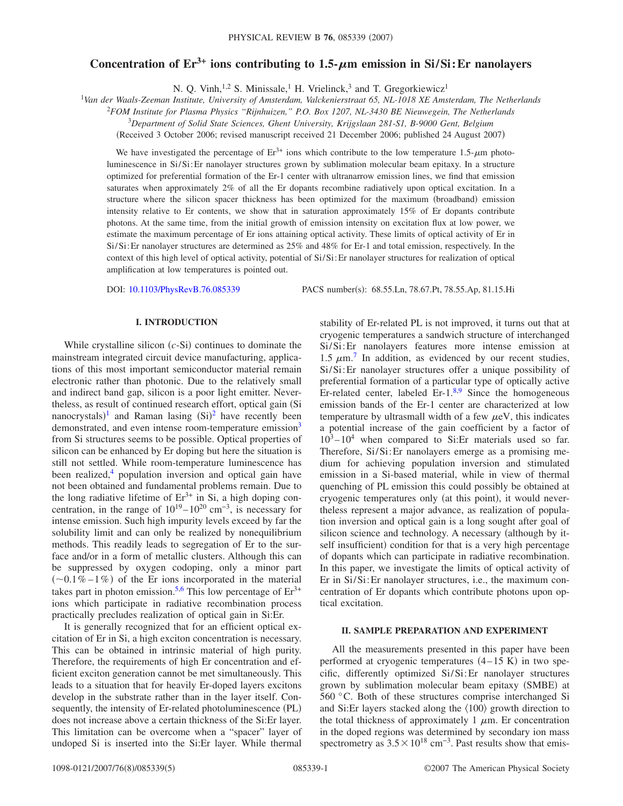# Concentration of  $Er^{3+}$  ions contributing to  $1.5-\mu m$  emission in Si/Si: Er nanolayers

N. Q. Vinh,<sup>1,2</sup> S. Minissale,<sup>1</sup> H. Vrielinck,<sup>3</sup> and T. Gregorkiewicz<sup>1</sup>

1 *Van der Waals-Zeeman Institute, University of Amsterdam, Valckenierstraat 65, NL-1018 XE Amsterdam, The Netherlands*

<sup>2</sup>*FOM Institute for Plasma Physics "Rijnhuizen," P.O. Box 1207, NL-3430 BE Nieuwegein, The Netherlands*

3 *Department of Solid State Sciences, Ghent University, Krijgslaan 281-S1, B-9000 Gent, Belgium*

(Received 3 October 2006; revised manuscript received 21 December 2006; published 24 August 2007)

We have investigated the percentage of  $Er^{3+}$  ions which contribute to the low temperature 1.5- $\mu$ m photoluminescence in Si/Si:Er nanolayer structures grown by sublimation molecular beam epitaxy. In a structure optimized for preferential formation of the Er-1 center with ultranarrow emission lines, we find that emission saturates when approximately 2% of all the Er dopants recombine radiatively upon optical excitation. In a structure where the silicon spacer thickness has been optimized for the maximum (broadband) emission intensity relative to Er contents, we show that in saturation approximately 15% of Er dopants contribute photons. At the same time, from the initial growth of emission intensity on excitation flux at low power, we estimate the maximum percentage of Er ions attaining optical activity. These limits of optical activity of Er in Si/Si:Er nanolayer structures are determined as 25% and 48% for Er-1 and total emission, respectively. In the context of this high level of optical activity, potential of Si/Si:Er nanolayer structures for realization of optical amplification at low temperatures is pointed out.

DOI: [10.1103/PhysRevB.76.085339](http://dx.doi.org/10.1103/PhysRevB.76.085339)

PACS number(s): 68.55.Ln, 78.67.Pt, 78.55.Ap, 81.15.Hi

## **I. INTRODUCTION**

While crystalline silicon  $(c-Si)$  continues to dominate the mainstream integrated circuit device manufacturing, applications of this most important semiconductor material remain electronic rather than photonic. Due to the relatively small and indirect band gap, silicon is a poor light emitter. Nevertheless, as result of continued research effort, optical gain (Si nanocrystals)<sup>[1](#page-4-0)</sup> and Raman lasing  $(Si)^2$  $(Si)^2$  have recently been demonstrated, and even intense room-temperature emission<sup>3</sup> from Si structures seems to be possible. Optical properties of silicon can be enhanced by Er doping but here the situation is still not settled. While room-temperature luminescence has been realized, $4$  population inversion and optical gain have not been obtained and fundamental problems remain. Due to the long radiative lifetime of  $Er^{3+}$  in Si, a high doping concentration, in the range of  $10^{19} - 10^{20}$  cm<sup>-3</sup>, is necessary for intense emission. Such high impurity levels exceed by far the solubility limit and can only be realized by nonequilibrium methods. This readily leads to segregation of Er to the surface and/or in a form of metallic clusters. Although this can be suppressed by oxygen codoping, only a minor part  $(\sim 0.1\% - 1\%)$  of the Er ions incorporated in the material takes part in photon emission.<sup>5,[6](#page-4-5)</sup> This low percentage of  $Er^{3+}$ ions which participate in radiative recombination process practically precludes realization of optical gain in Si:Er.

It is generally recognized that for an efficient optical excitation of Er in Si, a high exciton concentration is necessary. This can be obtained in intrinsic material of high purity. Therefore, the requirements of high Er concentration and efficient exciton generation cannot be met simultaneously. This leads to a situation that for heavily Er-doped layers excitons develop in the substrate rather than in the layer itself. Consequently, the intensity of Er-related photoluminescence (PL) does not increase above a certain thickness of the Si:Er layer. This limitation can be overcome when a "spacer" layer of undoped Si is inserted into the Si:Er layer. While thermal stability of Er-related PL is not improved, it turns out that at cryogenic temperatures a sandwich structure of interchanged Si/Si:Er nanolayers features more intense emission at 1.5  $\mu$ m.<sup>[7](#page-4-6)</sup> In addition, as evidenced by our recent studies, Si/Si:Er nanolayer structures offer a unique possibility of preferential formation of a particular type of optically active Er-related center, labeled Er- $1.^{8,9}$  $1.^{8,9}$  $1.^{8,9}$  Since the homogeneous emission bands of the Er-1 center are characterized at low temperature by ultrasmall width of a few  $\mu$ eV, this indicates a potential increase of the gain coefficient by a factor of  $10^3 - 10^4$  when compared to Si:Er materials used so far. Therefore, Si/Si:Er nanolayers emerge as a promising medium for achieving population inversion and stimulated emission in a Si-based material, while in view of thermal quenching of PL emission this could possibly be obtained at cryogenic temperatures only (at this point), it would nevertheless represent a major advance, as realization of population inversion and optical gain is a long sought after goal of silicon science and technology. A necessary (although by itself insufficient) condition for that is a very high percentage of dopants which can participate in radiative recombination. In this paper, we investigate the limits of optical activity of Er in Si/Si:Er nanolayer structures, i.e., the maximum concentration of Er dopants which contribute photons upon optical excitation.

## **II. SAMPLE PREPARATION AND EXPERIMENT**

All the measurements presented in this paper have been performed at cryogenic temperatures  $(4-15 K)$  in two specific, differently optimized Si/Si:Er nanolayer structures grown by sublimation molecular beam epitaxy (SMBE) at 560 °C. Both of these structures comprise interchanged Si and Si:Er layers stacked along the  $\langle 100 \rangle$  growth direction to the total thickness of approximately 1  $\mu$ m. Er concentration in the doped regions was determined by secondary ion mass spectrometry as  $3.5 \times 10^{18}$  cm<sup>-3</sup>. Past results show that emis-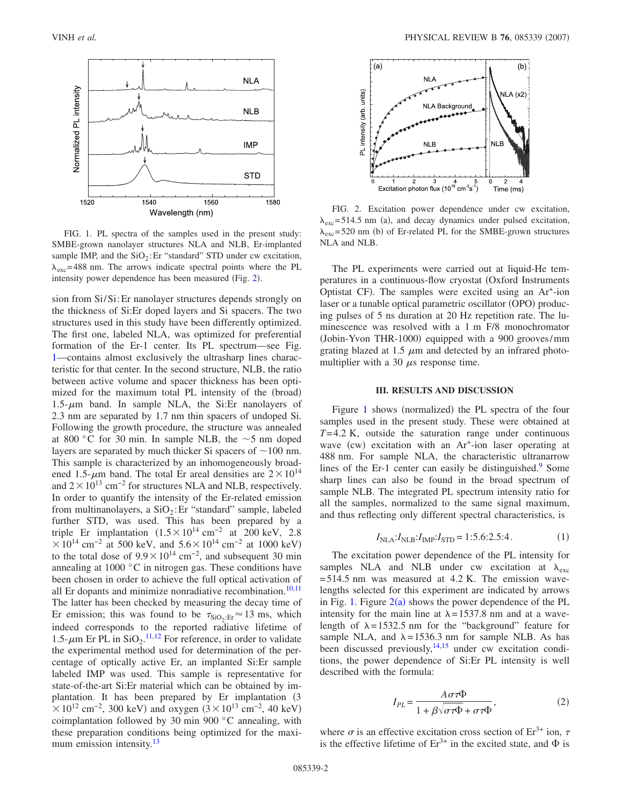<span id="page-1-0"></span>

FIG. 1. PL spectra of the samples used in the present study: SMBE-grown nanolayer structures NLA and NLB, Er-implanted sample IMP, and the  $SiO<sub>2</sub>$ : Er "standard" STD under cw excitation,  $\lambda_{\text{exc}}$ = 488 nm. The arrows indicate spectral points where the PL intensity power dependence has been measured (Fig. [2](#page-1-1)).

sion from Si/Si:Er nanolayer structures depends strongly on the thickness of Si:Er doped layers and Si spacers. The two structures used in this study have been differently optimized. The first one, labeled NLA, was optimized for preferential formation of the Er-1 center. Its PL spectrum—see Fig. [1—](#page-1-0)contains almost exclusively the ultrasharp lines characteristic for that center. In the second structure, NLB, the ratio between active volume and spacer thickness has been optimized for the maximum total PL intensity of the (broad)  $1.5$ - $\mu$ m band. In sample NLA, the Si:Er nanolayers of 2.3 nm are separated by 1.7 nm thin spacers of undoped Si. Following the growth procedure, the structure was annealed at 800 °C for 30 min. In sample NLB, the  $\sim$ 5 nm doped layers are separated by much thicker Si spacers of  $\sim 100$  nm. This sample is characterized by an inhomogeneously broadened 1.5- $\mu$ m band. The total Er areal densities are  $2 \times 10^{14}$ and  $2 \times 10^{13}$  cm<sup>-2</sup> for structures NLA and NLB, respectively. In order to quantify the intensity of the Er-related emission from multinanolayers, a  $SiO<sub>2</sub>:Er$  "standard" sample, labeled further STD, was used. This has been prepared by a triple Er implantation  $(1.5 \times 10^{14} \text{ cm}^{-2})$  at 200 keV, 2.8  $\times 10^{14}$  cm<sup>-2</sup> at 500 keV, and 5.6  $\times 10^{14}$  cm<sup>-2</sup> at 1000 keV) to the total dose of  $9.9 \times 10^{14}$  cm<sup>-2</sup>, and subsequent 30 min annealing at 1000 °C in nitrogen gas. These conditions have been chosen in order to achieve the full optical activation of all Er dopants and minimize nonradiative recombination.<sup>10,[11](#page-4-10)</sup> The latter has been checked by measuring the decay time of Er emission; this was found to be  $\tau_{SiO_2:Er} \approx 13$  ms, which indeed corresponds to the reported radiative lifetime of 1.5- $\mu$ m Er PL in SiO<sub>2</sub>.<sup>[11,](#page-4-10)[12](#page-4-11)</sup> For reference, in order to validate the experimental method used for determination of the percentage of optically active Er, an implanted Si:Er sample labeled IMP was used. This sample is representative for state-of-the-art Si:Er material which can be obtained by implantation. It has been prepared by Er implantation (3)  $\times 10^{12}$  cm<sup>-2</sup>, 300 keV) and oxygen  $(3 \times 10^{13}$  cm<sup>-2</sup>, 40 keV) coimplantation followed by 30 min 900 °C annealing, with these preparation conditions being optimized for the maximum emission intensity.<sup>13</sup>

<span id="page-1-1"></span>

FIG. 2. Excitation power dependence under cw excitation,  $\lambda_{\text{exc}}$ = 514.5 nm (a), and decay dynamics under pulsed excitation,  $\lambda_{\text{exc}}$ = 520 nm (b) of Er-related PL for the SMBE-grown structures NLA and NLB.

The PL experiments were carried out at liquid-He temperatures in a continuous-flow cryostat Oxford Instruments Optistat CF). The samples were excited using an Ar<sup>+</sup>-ion laser or a tunable optical parametric oscillator (OPO) producing pulses of 5 ns duration at 20 Hz repetition rate. The luminescence was resolved with a 1 m F/8 monochromator (Jobin-Yvon THR-1000) equipped with a 900 grooves/mm grating blazed at 1.5  $\mu$ m and detected by an infrared photomultiplier with a 30  $\mu$ s response time.

#### **III. RESULTS AND DISCUSSION**

Figure [1](#page-1-0) shows (normalized) the PL spectra of the four samples used in the present study. These were obtained at *T*= 4.2 K, outside the saturation range under continuous wave (cw) excitation with an Ar<sup>+</sup>-ion laser operating at 488 nm. For sample NLA, the characteristic ultranarrow lines of the Er-1 center can easily be distinguished. $9$  Some sharp lines can also be found in the broad spectrum of sample NLB. The integrated PL spectrum intensity ratio for all the samples, normalized to the same signal maximum, and thus reflecting only different spectral characteristics, is

$$
I_{\text{NLA}}: I_{\text{NLB}}: I_{\text{IMP}}: I_{\text{STD}} = 1:5.6:2.5:4.
$$
 (1)

<span id="page-1-3"></span>The excitation power dependence of the PL intensity for samples NLA and NLB under cw excitation at  $\lambda_{\text{exc}}$  $= 514.5$  nm was measured at 4.2 K. The emission wavelengths selected for this experiment are indicated by arrows in Fig. [1.](#page-1-0) Figure  $2(a)$  $2(a)$  shows the power dependence of the PL intensity for the main line at  $\lambda = 1537.8$  nm and at a wavelength of  $\lambda = 1532.5$  nm for the "background" feature for sample NLA, and  $\lambda = 1536.3$  nm for sample NLB. As has been discussed previously,  $14,15$  $14,15$  under cw excitation conditions, the power dependence of Si:Er PL intensity is well described with the formula:

$$
I_{PL} = \frac{A\sigma\tau\Phi}{1 + \beta\sqrt{\sigma\tau\Phi} + \sigma\tau\Phi},\tag{2}
$$

<span id="page-1-2"></span>where  $\sigma$  is an effective excitation cross section of Er<sup>3+</sup> ion,  $\tau$ is the effective lifetime of  $Er^{3+}$  in the excited state, and  $\Phi$  is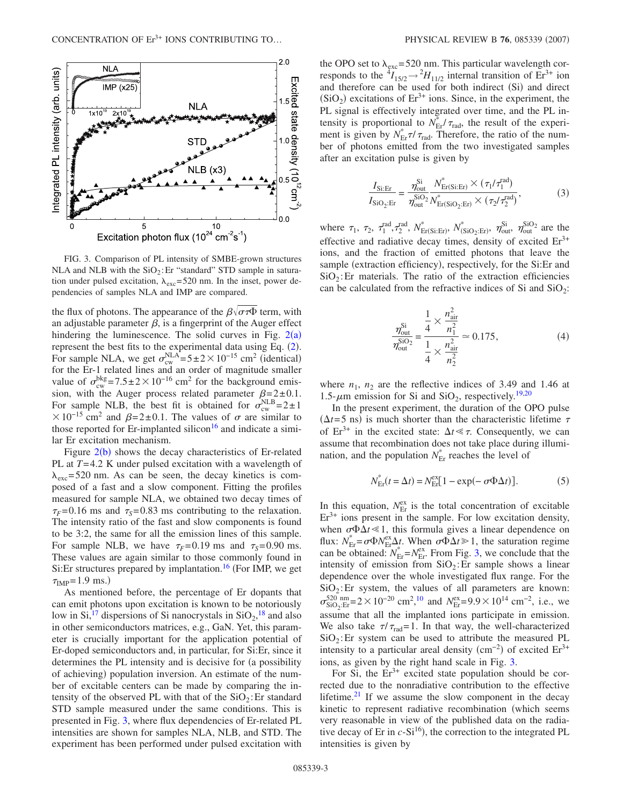<span id="page-2-0"></span>

FIG. 3. Comparison of PL intensity of SMBE-grown structures NLA and NLB with the  $SiO<sub>2</sub>: Er$  "standard" STD sample in saturation under pulsed excitation,  $\lambda_{\text{exc}} = 520$  nm. In the inset, power dependencies of samples NLA and IMP are compared.

the flux of photons. The appearance of the  $\beta\sqrt{\sigma\tau\Phi}$  term, with an adjustable parameter  $\beta$ , is a fingerprint of the Auger effect hindering the luminescence. The solid curves in Fig.  $2(a)$  $2(a)$ represent the best fits to the experimental data using Eq.  $(2)$  $(2)$  $(2)$ . For sample NLA, we get  $\sigma_{\text{cw}}^{\text{NLA}} = 5 \pm 2 \times 10^{-15} \text{ cm}^2$  (identical) for the Er-1 related lines and an order of magnitude smaller value of  $\sigma_{\text{cw}}^{\text{bkg}} = 7.5 \pm 2 \times 10^{-16} \text{ cm}^2$  for the background emission, with the Auger process related parameter  $\beta = 2 \pm 0.1$ . For sample NLB, the best fit is obtained for  $\sigma_{\text{cw}}^{\text{NLB}}=2\pm1$  $\times$  10<sup>-15</sup> cm<sup>2</sup> and  $\beta$ =2±0.1. The values of  $\sigma$  are similar to those reported for Er-implanted silicon<sup>16</sup> and indicate a similar Er excitation mechanism.

Figure  $2(b)$  $2(b)$  shows the decay characteristics of Er-related PL at *T*= 4.2 K under pulsed excitation with a wavelength of  $\lambda_{\rm exc}$ = 520 nm. As can be seen, the decay kinetics is composed of a fast and a slow component. Fitting the profiles measured for sample NLA, we obtained two decay times of  $\tau_F$ = 0.16 ms and  $\tau_s$ = 0.83 ms contributing to the relaxation. The intensity ratio of the fast and slow components is found to be 3:2, the same for all the emission lines of this sample. For sample NLB, we have  $\tau_F$ = 0.19 ms and  $\tau_s$ = 0.90 ms. These values are again similar to those commonly found in Si: Er structures prepared by implantation.<sup>16</sup> (For IMP, we get  $\tau_{\text{IMP}} = 1.9 \text{ ms.}$ 

As mentioned before, the percentage of Er dopants that can emit photons upon excitation is known to be notoriously low in Si,<sup>17</sup> dispersions of Si nanocrystals in  $SiO_2$ ,<sup>[18](#page-4-17)</sup> and also in other semiconductors matrices, e.g., GaN. Yet, this parameter is crucially important for the application potential of Er-doped semiconductors and, in particular, for Si:Er, since it determines the PL intensity and is decisive for (a possibility of achieving) population inversion. An estimate of the number of excitable centers can be made by comparing the intensity of the observed PL with that of the  $SiO<sub>2</sub>$ : Er standard STD sample measured under the same conditions. This is presented in Fig. [3,](#page-2-0) where flux dependencies of Er-related PL intensities are shown for samples NLA, NLB, and STD. The experiment has been performed under pulsed excitation with

the OPO set to  $\lambda_{\text{exc}}$ =520 nm. This particular wavelength corresponds to the  ${}^{4}I_{15/2} \rightarrow {}^{2}H_{11/2}$  internal transition of Er<sup>3+</sup> ion and therefore can be used for both indirect (Si) and direct  $(SiO<sub>2</sub>)$  excitations of Er<sup>3+</sup> ions. Since, in the experiment, the PL signal is effectively integrated over time, and the PL intensity is proportional to  $N_{\text{Er}}^* / \tau_{\text{rad}}$ , the result of the experiment is given by  $N_{\text{Er}}^* \tau / \tau_{\text{rad}}$ . Therefore, the ratio of the number of photons emitted from the two investigated samples after an excitation pulse is given by

$$
\frac{I_{\text{Si:Er}}}{I_{\text{SiO}_2:\text{Er}}} = \frac{\eta_{\text{out}}^{\text{Si}}}{\eta_{\text{out}}^{\text{SiO}_2}} \frac{N_{\text{Er(Si:Er}}^* \times (\tau_1/\tau_1^{\text{rad}})}{N_{\text{Er(SiO}_2:\text{Er}}^* \times (\tau_2/\tau_2^{\text{rad}})},
$$
(3)

where  $\tau_1$ ,  $\tau_2$ ,  $\tau_1^{\text{rad}}, \tau_2^{\text{rad}}, N_{\text{Er(Si:Er)}}^*$ ,  $N_{(\text{SiO}_2:Er)}^*$ ,  $\eta_{\text{out}}^{\text{SiO}_2}$  are the effective and radiative decay times, density of excited  $Er<sup>3+</sup>$ ions, and the fraction of emitted photons that leave the sample (extraction efficiency), respectively, for the Si:Er and  $SiO<sub>2</sub>$ : Er materials. The ratio of the extraction efficiencies can be calculated from the refractive indices of Si and  $SiO<sub>2</sub>$ :

$$
\frac{\eta_{\text{out}}^{\text{Si}}}{\eta_{\text{out}}^{\text{SiO}_2}} = \frac{\frac{1}{4} \times \frac{n_{\text{air}}^2}{n_1^2}}{\frac{1}{4} \times \frac{n_{\text{air}}^2}{n_2^2}} \approx 0.175,\tag{4}
$$

where  $n_1$ ,  $n_2$  are the reflective indices of 3.49 and 1.46 at 1.5- $\mu$ m emission for Si and SiO<sub>2</sub>, respectively.<sup>19,[20](#page-4-19)</sup>

In the present experiment, the duration of the OPO pulse  $(\Delta t = 5 \text{ ns})$  is much shorter than the characteristic lifetime  $\tau$ of  $Er^{3+}$  in the excited state:  $\Delta t \ll \tau$ . Consequently, we can assume that recombination does not take place during illumination, and the population  $N_{\text{Er}}^*$  reaches the level of

$$
N_{\rm Er}^*(t = \Delta t) = N_{\rm Er}^{\rm ex} [1 - \exp(-\sigma \Phi \Delta t)]. \tag{5}
$$

In this equation,  $N_{\text{Er}}^{\text{ex}}$  is the total concentration of excitable  $Er<sup>3+</sup>$  ions present in the sample. For low excitation density, when  $\sigma \Phi \Delta t \ll 1$ , this formula gives a linear dependence on flux:  $N_{\text{Er}}^* = \sigma \Phi N_{\text{Er}}^{\text{ex}} \Delta t$ . When  $\sigma \Phi \Delta t \ge 1$ , the saturation regime can be obtained:  $N_{\text{Er}}^* = N_{\text{Er}}^{\text{ex}}$ . From Fig. [3,](#page-2-0) we conclude that the intensity of emission from  $SiO<sub>2</sub>$ : Er sample shows a linear dependence over the whole investigated flux range. For the  $SiO<sub>2</sub>:$  Er system, the values of all parameters are known:  $\sigma_{\text{SiO}_2:\text{Er}}^{520 \text{ nm}} = 2 \times 10^{-20} \text{ cm}^2, ^{10}$  $\sigma_{\text{SiO}_2:\text{Er}}^{520 \text{ nm}} = 2 \times 10^{-20} \text{ cm}^2, ^{10}$  $\sigma_{\text{SiO}_2:\text{Er}}^{520 \text{ nm}} = 2 \times 10^{-20} \text{ cm}^2, ^{10}$  and  $N_{\text{Er}}^{\text{ex}} = 9.9 \times 10^{14} \text{ cm}^{-2}$ , i.e., we assume that all the implanted ions participate in emission. We also take  $\tau/\tau_{\text{rad}} = 1$ . In that way, the well-characterized  $SiO<sub>2</sub>$ : Er system can be used to attribute the measured PL intensity to a particular areal density  $\rm (cm^{-2})$  of excited  $\rm Er^{3+}$ ions, as given by the right hand scale in Fig. [3.](#page-2-0)

For Si, the  $Er^{3+}$  excited state population should be corrected due to the nonradiative contribution to the effective lifetime. $21$  If we assume the slow component in the decay kinetic to represent radiative recombination (which seems very reasonable in view of the published data on the radiative decay of Er in  $c-S1^{16}$ ), the correction to the integrated PL intensities is given by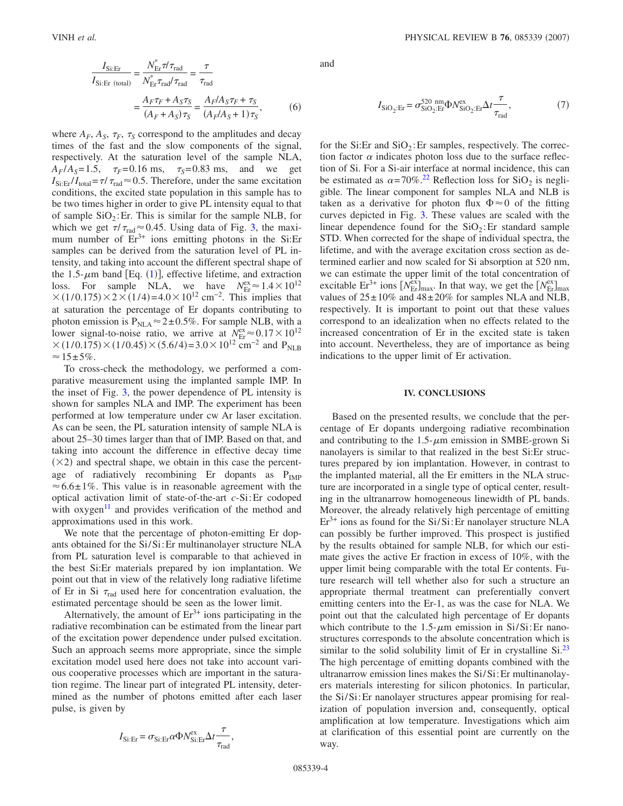where  $A_F$ ,  $A_S$ ,  $\tau_F$ ,  $\tau_S$  correspond to the amplitudes and decay times of the fast and the slow components of the signal, respectively. At the saturation level of the sample NLA,  $A_F/A_S = 1.5$ ,  $\tau_F = 0.16$  ms,  $\tau_S = 0.83$  ms, and we get  $I_{\text{Si:Er}}/I_{\text{total}} = \tau / \tau_{\text{rad}} \approx 0.5$ . Therefore, under the same excitation conditions, the excited state population in this sample has to be two times higher in order to give PL intensity equal to that of sample  $SiO<sub>2</sub>$ : Er. This is similar for the sample NLB, for which we get  $\tau/\tau_{rad} \approx 0.45$ . Using data of Fig. [3,](#page-2-0) the maximum number of  $Er<sup>3+</sup>$  ions emitting photons in the Si:Er samples can be derived from the saturation level of PL intensity, and taking into account the different spectral shape of the [1](#page-1-3).5- $\mu$ m band [Eq. (1)], effective lifetime, and extraction loss. For sample NLA, we have  $N_{\text{Er}}^{\text{ex}} \approx 1.4 \times 10^{12}$  $\times (1/0.175) \times 2 \times (1/4) = 4.0 \times 10^{12}$  cm<sup>-2</sup>. This implies that at saturation the percentage of Er dopants contributing to photon emission is  $P_{NLA} \approx 2 \pm 0.5\%$ . For sample NLB, with a lower signal-to-noise ratio, we arrive at  $N_{\text{Er}}^{\text{ex}} \approx 0.17 \times 10^{12}$  $\times (1/0.175) \times (1/0.45) \times (5.6/4) = 3.0 \times 10^{12}$  cm<sup>-2</sup> and P<sub>NLB</sub>  $\approx 15 \pm 5\%$ .

To cross-check the methodology, we performed a comparative measurement using the implanted sample IMP. In the inset of Fig. [3,](#page-2-0) the power dependence of PL intensity is shown for samples NLA and IMP. The experiment has been performed at low temperature under cw Ar laser excitation. As can be seen, the PL saturation intensity of sample NLA is about 25–30 times larger than that of IMP. Based on that, and taking into account the difference in effective decay time  $(\times 2)$  and spectral shape, we obtain in this case the percentage of radiatively recombining Er dopants as  $P_{IMP}$  $\approx 6.6 \pm 1\%$ . This value is in reasonable agreement with the optical activation limit of state-of-the-art *c*-Si:Er codoped with  $oxygen<sup>11</sup>$  and provides verification of the method and approximations used in this work.

We note that the percentage of photon-emitting Er dopants obtained for the Si/Si:Er multinanolayer structure NLA from PL saturation level is comparable to that achieved in the best Si:Er materials prepared by ion implantation. We point out that in view of the relatively long radiative lifetime of Er in Si  $\tau_{rad}$  used here for concentration evaluation, the estimated percentage should be seen as the lower limit.

Alternatively, the amount of  $Er^{3+}$  ions participating in the radiative recombination can be estimated from the linear part of the excitation power dependence under pulsed excitation. Such an approach seems more appropriate, since the simple excitation model used here does not take into account various cooperative processes which are important in the saturation regime. The linear part of integrated PL intensity, determined as the number of photons emitted after each laser pulse, is given by

$$
I_{\text{Si:Er}} = \sigma_{\text{Si:Er}} \alpha \Phi N_{\text{Si:Er}}^{\text{ex}} \Delta t \frac{\tau}{\tau_{\text{rad}}}
$$

,

and

$$
I_{\text{SiO}_2\text{:Er}} = \sigma_{\text{SiO}_2\text{:Er}}^{520 \text{ nm}} \Phi N_{\text{SiO}_2\text{:Er}}^{\text{ex}} \Delta t \frac{\tau}{\tau_{\text{rad}}},\tag{7}
$$

for the Si:Er and  $SiO<sub>2</sub>$ :Er samples, respectively. The correction factor  $\alpha$  indicates photon loss due to the surface reflection of Si. For a Si-air interface at normal incidence, this can be estimated as  $\alpha = 70\%$ .<sup>22</sup> Reflection loss for SiO<sub>2</sub> is negligible. The linear component for samples NLA and NLB is taken as a derivative for photon flux  $\Phi \approx 0$  of the fitting curves depicted in Fig. [3.](#page-2-0) These values are scaled with the linear dependence found for the  $SiO<sub>2</sub>$ : Er standard sample STD. When corrected for the shape of individual spectra, the lifetime, and with the average excitation cross section as determined earlier and now scaled for Si absorption at 520 nm, we can estimate the upper limit of the total concentration of excitable  $Er^{3+}$  ions  $[N_{Er}^{ex}]_{max}$ . In that way, we get the  $[N_{Er}^{ex}]_{max}$ values of  $25 \pm 10\%$  and  $48 \pm 20\%$  for samples NLA and NLB, respectively. It is important to point out that these values correspond to an idealization when no effects related to the increased concentration of Er in the excited state is taken into account. Nevertheless, they are of importance as being indications to the upper limit of Er activation.

#### **IV. CONCLUSIONS**

Based on the presented results, we conclude that the percentage of Er dopants undergoing radiative recombination and contributing to the  $1.5$ - $\mu$ m emission in SMBE-grown Si nanolayers is similar to that realized in the best Si:Er structures prepared by ion implantation. However, in contrast to the implanted material, all the Er emitters in the NLA structure are incorporated in a single type of optical center, resulting in the ultranarrow homogeneous linewidth of PL bands. Moreover, the already relatively high percentage of emitting  $Er<sup>3+</sup>$  ions as found for the Si/Si: Er nanolayer structure NLA can possibly be further improved. This prospect is justified by the results obtained for sample NLB, for which our estimate gives the active Er fraction in excess of 10%, with the upper limit being comparable with the total Er contents. Future research will tell whether also for such a structure an appropriate thermal treatment can preferentially convert emitting centers into the Er-1, as was the case for NLA. We point out that the calculated high percentage of Er dopants which contribute to the 1.5- $\mu$ m emission in Si/Si:Er nanostructures corresponds to the absolute concentration which is similar to the solid solubility limit of Er in crystalline  $Si^{23}$ . The high percentage of emitting dopants combined with the ultranarrow emission lines makes the Si/Si:Er multinanolayers materials interesting for silicon photonics. In particular, the Si/Si:Er nanolayer structures appear promising for realization of population inversion and, consequently, optical amplification at low temperature. Investigations which aim at clarification of this essential point are currently on the way.